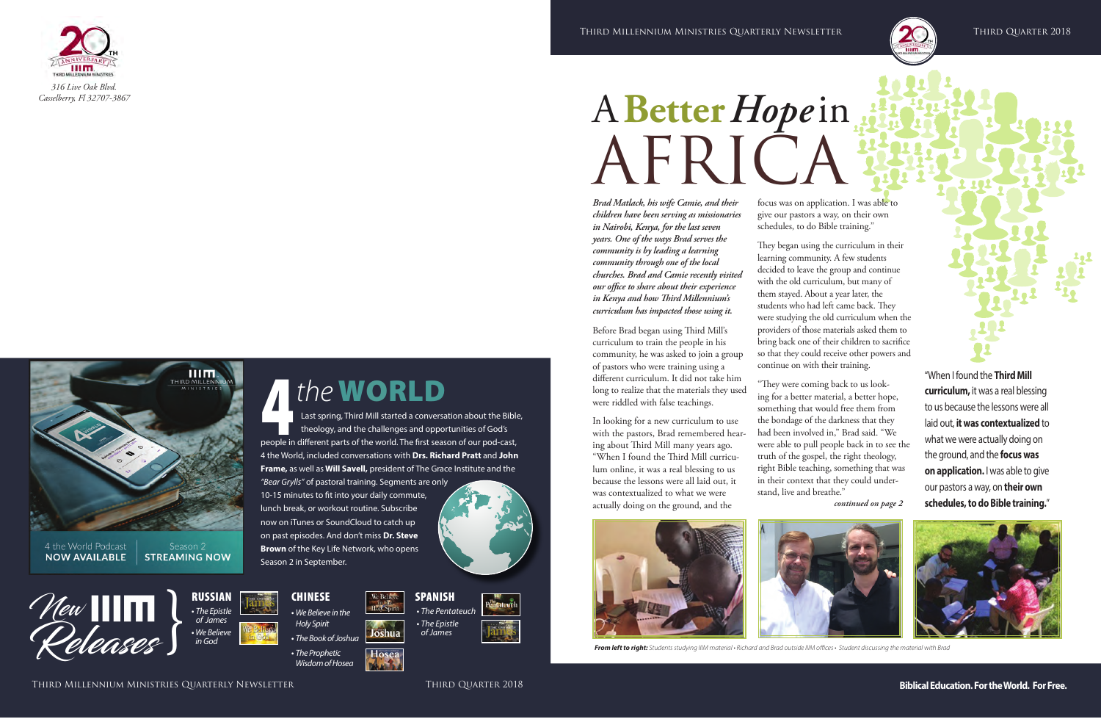# A **Better** *Hope* in AFRICA

Hosea *Wisdom of Hosea*

"When I found the **Third Mill curriculum,** it was a real blessing to us because the lessons were all laid out, **it was contextualized** to what we were actually doing on the ground, and the **focus was on application.** I was able to give our pastors a way, on **their own schedules, to do Bible training.**"





**CHINESE** 

*• We Believe in the Holy Spirit*

*• The Book of Joshua*

*• The Prophetic* 



*• The Pentateuch • The Epistle of James*





4*the* WORLD

Last spring, Third Mill started a conversation about the Bible, theology, and the challenges and opportunities of God's

people in different parts of the world. The first season of our pod-cast, 4 the World, included conversations with **Drs. Richard Pratt** and J**ohn Frame,** as well as **Will Savell,** president of The Grace Institute and the

We Belie

Joshua

*"Bear Grylls"* of pastoral training. Segments are only 10-15 minutes to fit into your daily commute, lunch break, or workout routine. Subscribe now on iTunes or SoundCloud to catch up on past episodes. And don't miss **Dr. Steve Brown** of the Key Life Network, who opens

Season 2 in September.

*Brad Matlack, his wife Camie, and their children have been serving as missionaries in Nairobi, Kenya, for the last seven years. One of the ways Brad serves the community is by leading a learning community through one of the local churches. Brad and Camie recently visited our office to share about their experience in Kenya and how Third Millennium's curriculum has impacted those using it.*

Before Brad began using Third Mill's curriculum to train the people in his community, he was asked to join a group of pastors who were training using a different curriculum. It did not take him long to realize that the materials they used were riddled with false teachings.

In looking for a new curriculum to use with the pastors, Brad remembered hearing about Third Mill many years ago. "When I found the Third Mill curriculum online, it was a real blessing to us because the lessons were all laid out, it was contextualized to what we were actually doing on the ground, and the



focus was on application. I was able to give our pastors a way, on their own schedules, to do Bible training."

They began using the curriculum in their learning community. A few students decided to leave the group and continue with the old curriculum, but many of them stayed. About a year later, the students who had left came back. They were studying the old curriculum when the providers of those materials asked them to bring back one of their children to sacrifice so that they could receive other powers and continue on with their training.

"They were coming back to us looking for a better material, a better hope, something that would free them from the bondage of the darkness that they had been involved in," Brad said. "We were able to pull people back in to see the







*From left to right: Students studying IIIM material • Richard and Brad outside IIIM offices • Student discussing the material with Brad*

шт.

4 the World Podcast **NOW AVAILABLE** 

Season 2 **STREAMING NOW**